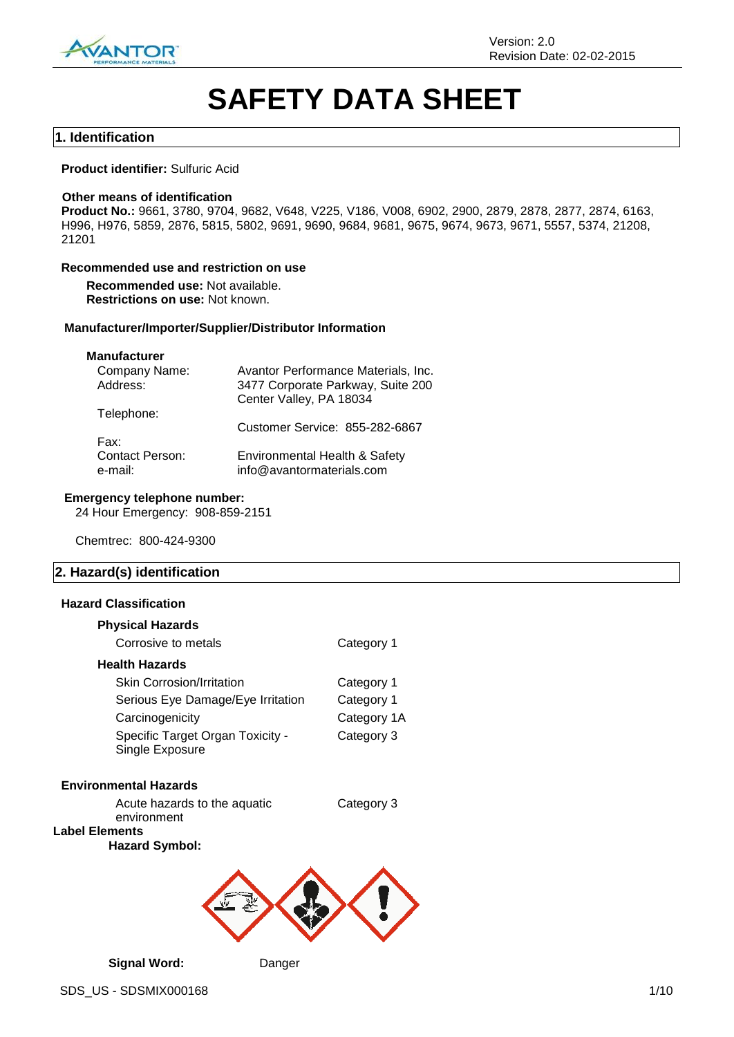

# **SAFETY DATA SHEET**

#### **1. Identification**

#### **Product identifier:** Sulfuric Acid

#### **Other means of identification**

**Product No.:** 9661, 3780, 9704, 9682, V648, V225, V186, V008, 6902, 2900, 2879, 2878, 2877, 2874, 6163, H996, H976, 5859, 2876, 5815, 5802, 9691, 9690, 9684, 9681, 9675, 9674, 9673, 9671, 5557, 5374, 21208, 21201

#### **Recommended use and restriction on use**

**Recommended use:** Not available. **Restrictions on use:** Not known.

#### **Manufacturer/Importer/Supplier/Distributor Information**

### **Manufacturer**

| Company Name:          | Avantor Performance Materials, Inc. |
|------------------------|-------------------------------------|
| Address:               | 3477 Corporate Parkway, Suite 200   |
|                        | Center Valley, PA 18034             |
| Telephone:             |                                     |
|                        | Customer Service: 855-282-6867      |
| Fax:                   |                                     |
| <b>Contact Person:</b> | Environmental Health & Safety       |
| e-mail:                | info@avantormaterials.com           |
|                        |                                     |

#### **Emergency telephone number:**

24 Hour Emergency: 908-859-2151

Chemtrec: 800-424-9300

#### **2. Hazard(s) identification**

#### **Hazard Classification**

| <b>Physical Hazards</b>                             |             |
|-----------------------------------------------------|-------------|
| Corrosive to metals                                 | Category 1  |
| <b>Health Hazards</b>                               |             |
| <b>Skin Corrosion/Irritation</b>                    | Category 1  |
| Serious Eye Damage/Eye Irritation                   | Category 1  |
| Carcinogenicity                                     | Category 1A |
| Specific Target Organ Toxicity -<br>Single Exposure | Category 3  |
| <b>Environmental Hazards</b>                        |             |

Acute hazards to the aquatic environment **Label Elements**

**Hazard Symbol:**

Category 3



**Signal Word:** Danger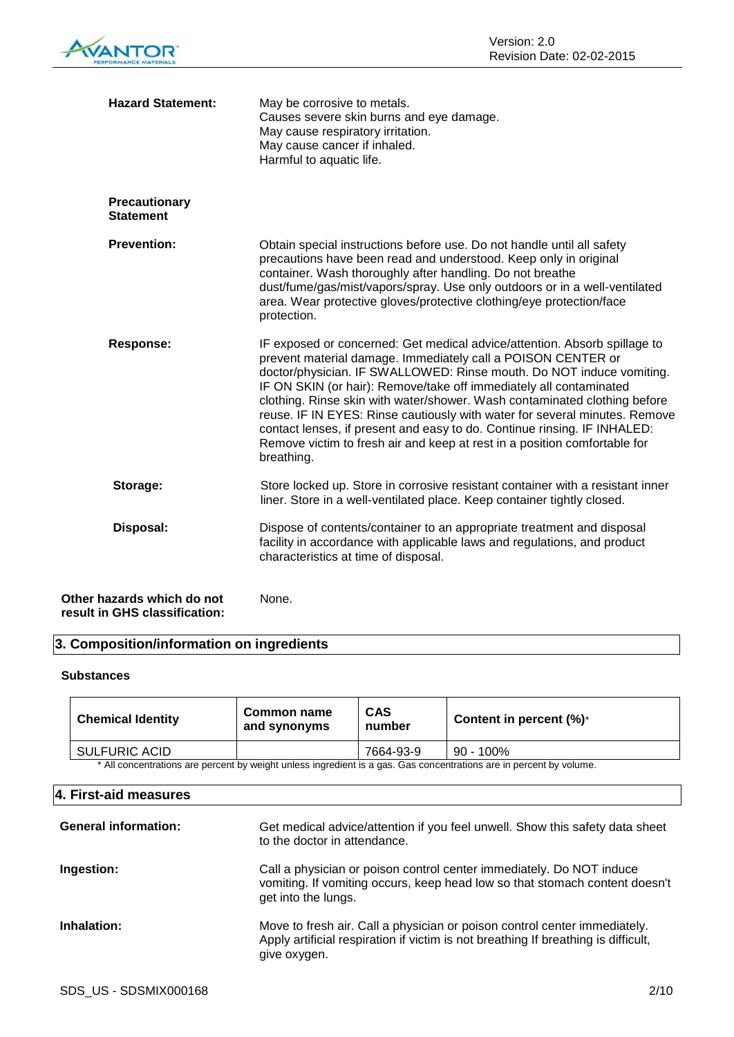| <b>VANTOR</b> |
|---------------|
|               |

| <b>Hazard Statement:</b>                                    | May be corrosive to metals.<br>Causes severe skin burns and eye damage.<br>May cause respiratory irritation.<br>May cause cancer if inhaled.<br>Harmful to aquatic life.                                                                                                                                                                                                                                                                                                                                                                                                                                                  |
|-------------------------------------------------------------|---------------------------------------------------------------------------------------------------------------------------------------------------------------------------------------------------------------------------------------------------------------------------------------------------------------------------------------------------------------------------------------------------------------------------------------------------------------------------------------------------------------------------------------------------------------------------------------------------------------------------|
| <b>Precautionary</b><br><b>Statement</b>                    |                                                                                                                                                                                                                                                                                                                                                                                                                                                                                                                                                                                                                           |
| <b>Prevention:</b>                                          | Obtain special instructions before use. Do not handle until all safety<br>precautions have been read and understood. Keep only in original<br>container. Wash thoroughly after handling. Do not breathe<br>dust/fume/gas/mist/vapors/spray. Use only outdoors or in a well-ventilated<br>area. Wear protective gloves/protective clothing/eye protection/face<br>protection.                                                                                                                                                                                                                                              |
| <b>Response:</b>                                            | IF exposed or concerned: Get medical advice/attention. Absorb spillage to<br>prevent material damage. Immediately call a POISON CENTER or<br>doctor/physician. IF SWALLOWED: Rinse mouth. Do NOT induce vomiting.<br>IF ON SKIN (or hair): Remove/take off immediately all contaminated<br>clothing. Rinse skin with water/shower. Wash contaminated clothing before<br>reuse. IF IN EYES: Rinse cautiously with water for several minutes. Remove<br>contact lenses, if present and easy to do. Continue rinsing. IF INHALED:<br>Remove victim to fresh air and keep at rest in a position comfortable for<br>breathing. |
| Storage:                                                    | Store locked up. Store in corrosive resistant container with a resistant inner<br>liner. Store in a well-ventilated place. Keep container tightly closed.                                                                                                                                                                                                                                                                                                                                                                                                                                                                 |
| Disposal:                                                   | Dispose of contents/container to an appropriate treatment and disposal<br>facility in accordance with applicable laws and regulations, and product<br>characteristics at time of disposal.                                                                                                                                                                                                                                                                                                                                                                                                                                |
| Other hazards which do not<br>result in GHS classification: | None.                                                                                                                                                                                                                                                                                                                                                                                                                                                                                                                                                                                                                     |

### **3. Composition/information on ingredients**

#### **Substances**

| <b>Chemical Identity</b>                                                                                           | Common name<br>and synonyms | <b>CAS</b><br>number | Content in percent $(\%)^*$ |
|--------------------------------------------------------------------------------------------------------------------|-----------------------------|----------------------|-----------------------------|
| <b>SULFURIC ACID</b>                                                                                               |                             | 7664-93-9            | 90 - 100%                   |
| * All concentrations are percent by weight unless ingredient is a gas. Cas concentrations are in percent by volume |                             |                      |                             |

All concentrations are percent by weight unless ingredient is a gas. Gas concentrations are in percent by volume.

### **4. First-aid measures**

| <b>General information:</b> | Get medical advice/attention if you feel unwell. Show this safety data sheet<br>to the doctor in attendance.                                                                    |
|-----------------------------|---------------------------------------------------------------------------------------------------------------------------------------------------------------------------------|
| Ingestion:                  | Call a physician or poison control center immediately. Do NOT induce<br>vomiting. If vomiting occurs, keep head low so that stomach content doesn't<br>get into the lungs.      |
| Inhalation:                 | Move to fresh air. Call a physician or poison control center immediately.<br>Apply artificial respiration if victim is not breathing If breathing is difficult,<br>give oxygen. |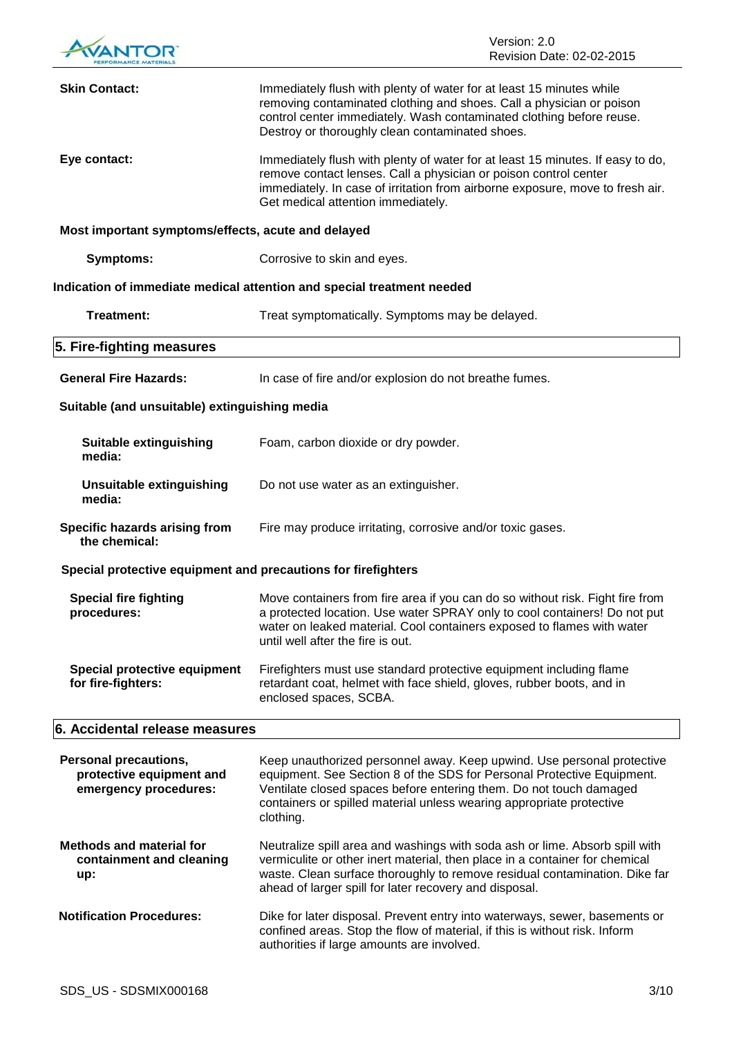

| <b>Skin Contact:</b>                                                       | Immediately flush with plenty of water for at least 15 minutes while<br>removing contaminated clothing and shoes. Call a physician or poison<br>control center immediately. Wash contaminated clothing before reuse.<br>Destroy or thoroughly clean contaminated shoes.                                     |
|----------------------------------------------------------------------------|-------------------------------------------------------------------------------------------------------------------------------------------------------------------------------------------------------------------------------------------------------------------------------------------------------------|
| Eye contact:                                                               | Immediately flush with plenty of water for at least 15 minutes. If easy to do,<br>remove contact lenses. Call a physician or poison control center<br>immediately. In case of irritation from airborne exposure, move to fresh air.<br>Get medical attention immediately.                                   |
| Most important symptoms/effects, acute and delayed                         |                                                                                                                                                                                                                                                                                                             |
| <b>Symptoms:</b>                                                           | Corrosive to skin and eyes.                                                                                                                                                                                                                                                                                 |
|                                                                            | Indication of immediate medical attention and special treatment needed                                                                                                                                                                                                                                      |
| <b>Treatment:</b>                                                          | Treat symptomatically. Symptoms may be delayed.                                                                                                                                                                                                                                                             |
| 5. Fire-fighting measures                                                  |                                                                                                                                                                                                                                                                                                             |
| <b>General Fire Hazards:</b>                                               | In case of fire and/or explosion do not breathe fumes.                                                                                                                                                                                                                                                      |
| Suitable (and unsuitable) extinguishing media                              |                                                                                                                                                                                                                                                                                                             |
| <b>Suitable extinguishing</b><br>media:                                    | Foam, carbon dioxide or dry powder.                                                                                                                                                                                                                                                                         |
| <b>Unsuitable extinguishing</b><br>media:                                  | Do not use water as an extinguisher.                                                                                                                                                                                                                                                                        |
| Specific hazards arising from<br>the chemical:                             | Fire may produce irritating, corrosive and/or toxic gases.                                                                                                                                                                                                                                                  |
| Special protective equipment and precautions for firefighters              |                                                                                                                                                                                                                                                                                                             |
| <b>Special fire fighting</b><br>procedures:                                | Move containers from fire area if you can do so without risk. Fight fire from<br>a protected location. Use water SPRAY only to cool containers! Do not put<br>water on leaked material. Cool containers exposed to flames with water<br>until well after the fire is out.                                   |
| Special protective equipment<br>for fire-fighters:                         | Firefighters must use standard protective equipment including flame<br>retardant coat, helmet with face shield, gloves, rubber boots, and in<br>enclosed spaces, SCBA.                                                                                                                                      |
| 6. Accidental release measures                                             |                                                                                                                                                                                                                                                                                                             |
| Personal precautions,<br>protective equipment and<br>emergency procedures: | Keep unauthorized personnel away. Keep upwind. Use personal protective<br>equipment. See Section 8 of the SDS for Personal Protective Equipment.<br>Ventilate closed spaces before entering them. Do not touch damaged<br>containers or spilled material unless wearing appropriate protective<br>clothing. |
| <b>Methods and material for</b><br>containment and cleaning<br>up:         | Neutralize spill area and washings with soda ash or lime. Absorb spill with<br>vermiculite or other inert material, then place in a container for chemical<br>waste. Clean surface thoroughly to remove residual contamination. Dike far<br>ahead of larger spill for later recovery and disposal.          |
| <b>Notification Procedures:</b>                                            | Dike for later disposal. Prevent entry into waterways, sewer, basements or<br>confined areas. Stop the flow of material, if this is without risk. Inform<br>authorities if large amounts are involved.                                                                                                      |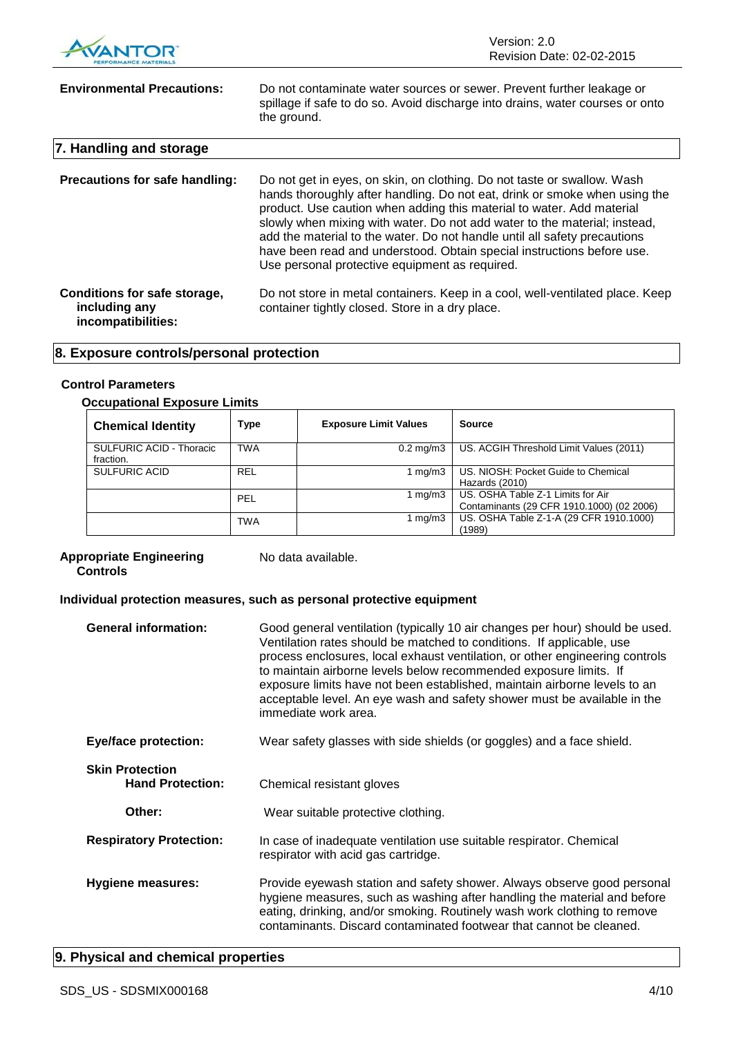

| <b>Environmental Precautions:</b>                                   | Do not contaminate water sources or sewer. Prevent further leakage or<br>spillage if safe to do so. Avoid discharge into drains, water courses or onto<br>the ground.                                                                                                                                                                                                                                                                                                                                                |
|---------------------------------------------------------------------|----------------------------------------------------------------------------------------------------------------------------------------------------------------------------------------------------------------------------------------------------------------------------------------------------------------------------------------------------------------------------------------------------------------------------------------------------------------------------------------------------------------------|
| 7. Handling and storage                                             |                                                                                                                                                                                                                                                                                                                                                                                                                                                                                                                      |
| <b>Precautions for safe handling:</b>                               | Do not get in eyes, on skin, on clothing. Do not taste or swallow. Wash<br>hands thoroughly after handling. Do not eat, drink or smoke when using the<br>product. Use caution when adding this material to water. Add material<br>slowly when mixing with water. Do not add water to the material; instead,<br>add the material to the water. Do not handle until all safety precautions<br>have been read and understood. Obtain special instructions before use.<br>Use personal protective equipment as required. |
| Conditions for safe storage,<br>including any<br>incompatibilities: | Do not store in metal containers. Keep in a cool, well-ventilated place. Keep<br>container tightly closed. Store in a dry place.                                                                                                                                                                                                                                                                                                                                                                                     |

### **8. Exposure controls/personal protection**

#### **Control Parameters**

#### **Occupational Exposure Limits**

| <b>Chemical Identity</b>                     | Type       | <b>Exposure Limit Values</b> | <b>Source</b>                                                                  |
|----------------------------------------------|------------|------------------------------|--------------------------------------------------------------------------------|
| <b>SULFURIC ACID - Thoracic</b><br>fraction. | <b>TWA</b> | $0.2 \text{ mg/m}$ 3         | US. ACGIH Threshold Limit Values (2011)                                        |
| <b>SULFURIC ACID</b>                         | <b>REL</b> | 1 mg/m3                      | US. NIOSH: Pocket Guide to Chemical<br>Hazards (2010)                          |
|                                              | PEL        | 1 mg/m3                      | US. OSHA Table Z-1 Limits for Air<br>Contaminants (29 CFR 1910.1000) (02 2006) |
|                                              | <b>TWA</b> | 1 mg/m $3$                   | US. OSHA Table Z-1-A (29 CFR 1910.1000)<br>(1989)                              |

#### **Appropriate Engineering Controls**

No data available.

#### **Individual protection measures, such as personal protective equipment**

| <b>General information:</b>                       | Good general ventilation (typically 10 air changes per hour) should be used.<br>Ventilation rates should be matched to conditions. If applicable, use<br>process enclosures, local exhaust ventilation, or other engineering controls<br>to maintain airborne levels below recommended exposure limits. If<br>exposure limits have not been established, maintain airborne levels to an<br>acceptable level. An eye wash and safety shower must be available in the<br>immediate work area. |
|---------------------------------------------------|---------------------------------------------------------------------------------------------------------------------------------------------------------------------------------------------------------------------------------------------------------------------------------------------------------------------------------------------------------------------------------------------------------------------------------------------------------------------------------------------|
| <b>Eye/face protection:</b>                       | Wear safety glasses with side shields (or goggles) and a face shield.                                                                                                                                                                                                                                                                                                                                                                                                                       |
| <b>Skin Protection</b><br><b>Hand Protection:</b> | Chemical resistant gloves                                                                                                                                                                                                                                                                                                                                                                                                                                                                   |
| Other:                                            | Wear suitable protective clothing.                                                                                                                                                                                                                                                                                                                                                                                                                                                          |
| <b>Respiratory Protection:</b>                    | In case of inadequate ventilation use suitable respirator. Chemical<br>respirator with acid gas cartridge.                                                                                                                                                                                                                                                                                                                                                                                  |
| <b>Hygiene measures:</b>                          | Provide eyewash station and safety shower. Always observe good personal<br>hygiene measures, such as washing after handling the material and before<br>eating, drinking, and/or smoking. Routinely wash work clothing to remove<br>contaminants. Discard contaminated footwear that cannot be cleaned.                                                                                                                                                                                      |

### **9. Physical and chemical properties**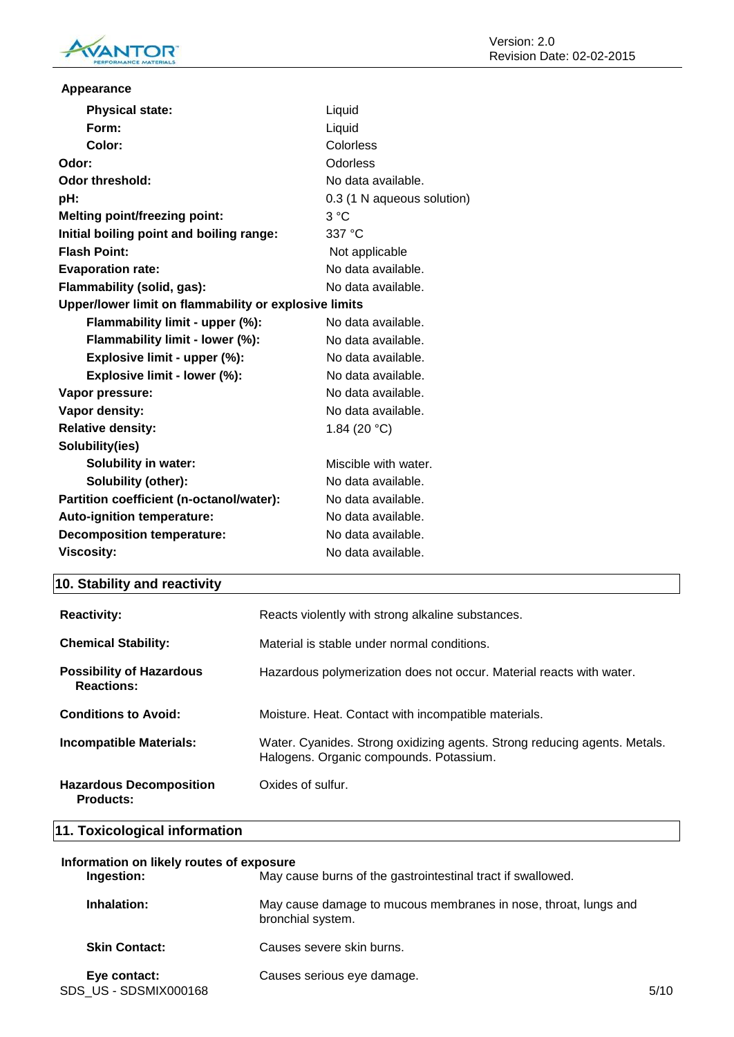

| Appearance                                            |                            |  |
|-------------------------------------------------------|----------------------------|--|
| <b>Physical state:</b>                                | Liquid                     |  |
| Form:                                                 | Liquid                     |  |
| Color:                                                | Colorless                  |  |
| Odor:                                                 | Odorless                   |  |
| <b>Odor threshold:</b>                                | No data available.         |  |
| pH:                                                   | 0.3 (1 N aqueous solution) |  |
| <b>Melting point/freezing point:</b>                  | 3 °C                       |  |
| Initial boiling point and boiling range:              | 337 °C                     |  |
| <b>Flash Point:</b>                                   | Not applicable             |  |
| <b>Evaporation rate:</b>                              | No data available.         |  |
| Flammability (solid, gas):                            | No data available.         |  |
| Upper/lower limit on flammability or explosive limits |                            |  |
| Flammability limit - upper (%):                       | No data available.         |  |
| Flammability limit - lower (%):                       | No data available.         |  |
| Explosive limit - upper (%):                          | No data available.         |  |
| Explosive limit - lower (%):                          | No data available.         |  |
| Vapor pressure:                                       | No data available.         |  |
| Vapor density:                                        | No data available.         |  |
| <b>Relative density:</b>                              | 1.84 (20 $°C$ )            |  |
| Solubility(ies)                                       |                            |  |
| <b>Solubility in water:</b>                           | Miscible with water.       |  |
| Solubility (other):                                   | No data available.         |  |
| Partition coefficient (n-octanol/water):              | No data available.         |  |
| Auto-ignition temperature:                            | No data available.         |  |
| <b>Decomposition temperature:</b>                     | No data available.         |  |
| <b>Viscosity:</b>                                     | No data available.         |  |

## **10. Stability and reactivity**

| <b>Reactivity:</b>                                   | Reacts violently with strong alkaline substances.                                                                    |
|------------------------------------------------------|----------------------------------------------------------------------------------------------------------------------|
| <b>Chemical Stability:</b>                           | Material is stable under normal conditions.                                                                          |
| <b>Possibility of Hazardous</b><br><b>Reactions:</b> | Hazardous polymerization does not occur. Material reacts with water.                                                 |
| <b>Conditions to Avoid:</b>                          | Moisture. Heat. Contact with incompatible materials.                                                                 |
| <b>Incompatible Materials:</b>                       | Water. Cyanides. Strong oxidizing agents. Strong reducing agents. Metals.<br>Halogens. Organic compounds. Potassium. |
| <b>Hazardous Decomposition</b><br><b>Products:</b>   | Oxides of sulfur.                                                                                                    |

### **11. Toxicological information**

| Information on likely routes of exposure |                                                                                      |      |  |
|------------------------------------------|--------------------------------------------------------------------------------------|------|--|
| Ingestion:                               | May cause burns of the gastrointestinal tract if swallowed.                          |      |  |
| Inhalation:                              | May cause damage to mucous membranes in nose, throat, lungs and<br>bronchial system. |      |  |
| <b>Skin Contact:</b>                     | Causes severe skin burns.                                                            |      |  |
| Eye contact:<br>SDS US - SDSMIX000168    | Causes serious eye damage.                                                           | 5/10 |  |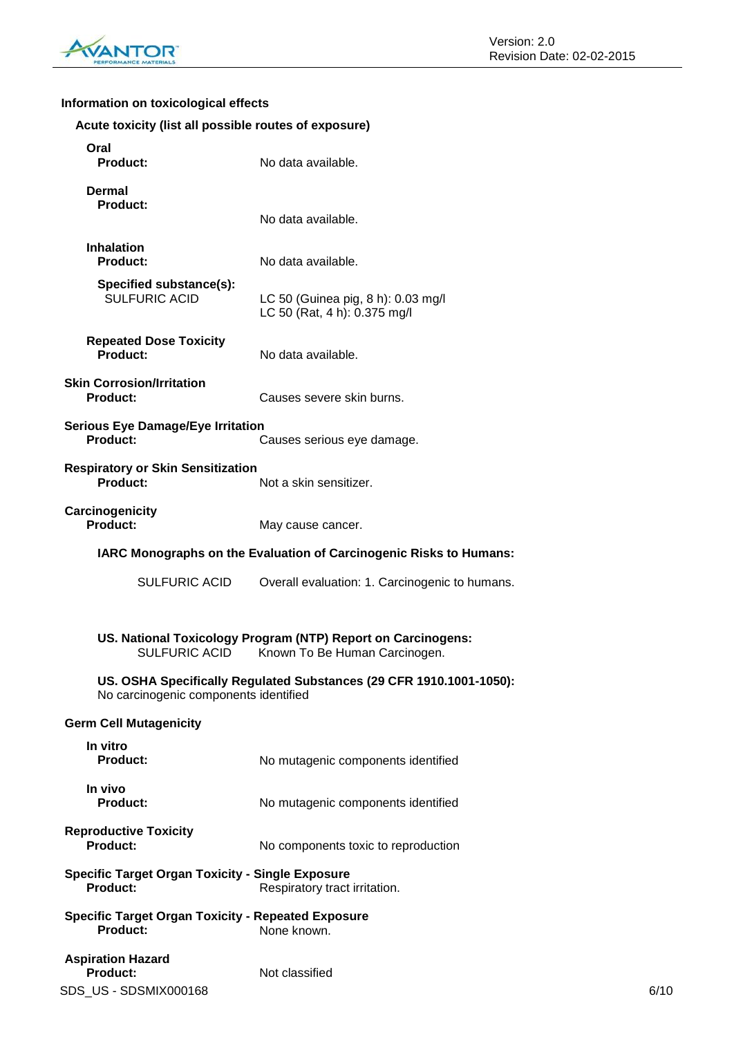

### **Information on toxicological effects**

| Acute toxicity (list all possible routes of exposure) |  |  |  |
|-------------------------------------------------------|--|--|--|
|-------------------------------------------------------|--|--|--|

| Oral<br><b>Product:</b>                                                      | No data available.                                                                            |      |
|------------------------------------------------------------------------------|-----------------------------------------------------------------------------------------------|------|
| <b>Dermal</b><br><b>Product:</b>                                             | No data available.                                                                            |      |
| <b>Inhalation</b><br><b>Product:</b>                                         | No data available.                                                                            |      |
| Specified substance(s):<br><b>SULFURIC ACID</b>                              | LC 50 (Guinea pig, 8 h): 0.03 mg/l<br>LC 50 (Rat, 4 h): 0.375 mg/l                            |      |
| <b>Repeated Dose Toxicity</b><br><b>Product:</b>                             | No data available.                                                                            |      |
| <b>Skin Corrosion/Irritation</b><br><b>Product:</b>                          | Causes severe skin burns.                                                                     |      |
| <b>Serious Eye Damage/Eye Irritation</b><br><b>Product:</b>                  | Causes serious eye damage.                                                                    |      |
| <b>Respiratory or Skin Sensitization</b><br><b>Product:</b>                  | Not a skin sensitizer.                                                                        |      |
| Carcinogenicity<br><b>Product:</b>                                           | May cause cancer.                                                                             |      |
|                                                                              | IARC Monographs on the Evaluation of Carcinogenic Risks to Humans:                            |      |
| <b>SULFURIC ACID</b>                                                         | Overall evaluation: 1. Carcinogenic to humans.                                                |      |
| <b>SULFURIC ACID</b>                                                         | US. National Toxicology Program (NTP) Report on Carcinogens:<br>Known To Be Human Carcinogen. |      |
| No carcinogenic components identified                                        | US. OSHA Specifically Regulated Substances (29 CFR 1910.1001-1050):                           |      |
| <b>Germ Cell Mutagenicity</b>                                                |                                                                                               |      |
| In vitro<br><b>Product:</b>                                                  | No mutagenic components identified                                                            |      |
| In vivo<br><b>Product:</b>                                                   | No mutagenic components identified                                                            |      |
| <b>Reproductive Toxicity</b><br><b>Product:</b>                              | No components toxic to reproduction                                                           |      |
| <b>Specific Target Organ Toxicity - Single Exposure</b><br><b>Product:</b>   | Respiratory tract irritation.                                                                 |      |
| <b>Specific Target Organ Toxicity - Repeated Exposure</b><br><b>Product:</b> | None known.                                                                                   |      |
| <b>Aspiration Hazard</b><br><b>Product:</b><br>SDS_US - SDSMIX000168         | Not classified                                                                                | 6/10 |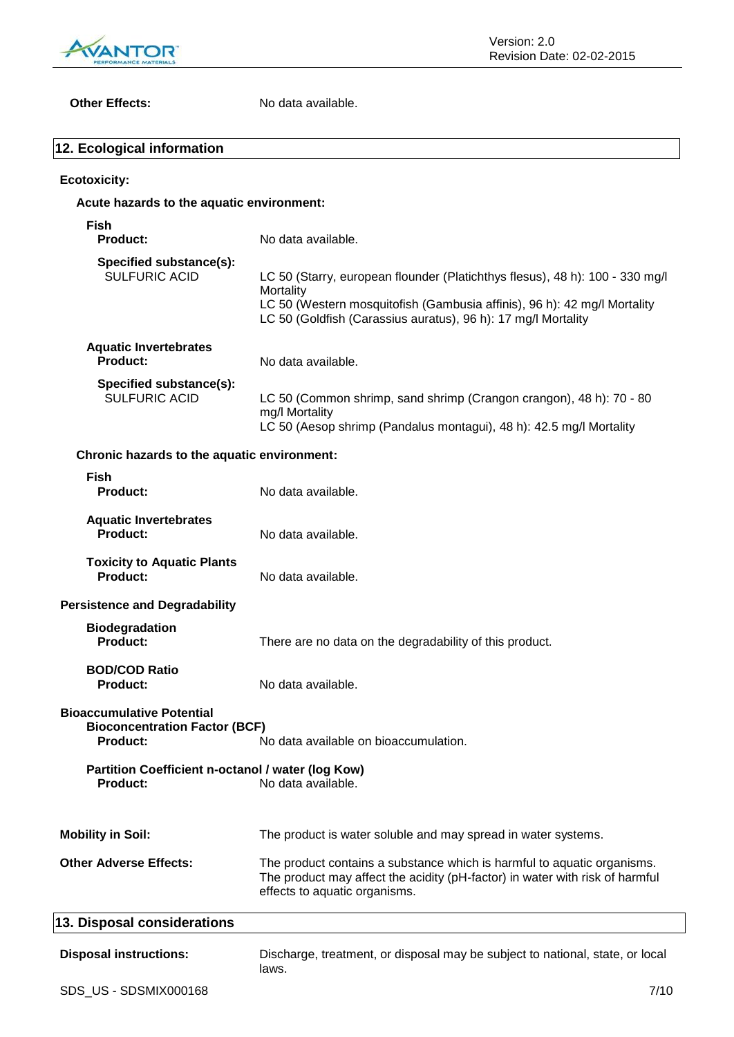

**Other Effects:** No data available.

| 12. Ecological information                                                                  |                                                                                                                                                                                                                                        |
|---------------------------------------------------------------------------------------------|----------------------------------------------------------------------------------------------------------------------------------------------------------------------------------------------------------------------------------------|
| <b>Ecotoxicity:</b>                                                                         |                                                                                                                                                                                                                                        |
| Acute hazards to the aquatic environment:                                                   |                                                                                                                                                                                                                                        |
| <b>Fish</b><br><b>Product:</b>                                                              | No data available.                                                                                                                                                                                                                     |
| Specified substance(s):<br><b>SULFURIC ACID</b>                                             | LC 50 (Starry, european flounder (Platichthys flesus), 48 h): 100 - 330 mg/l<br>Mortality<br>LC 50 (Western mosquitofish (Gambusia affinis), 96 h): 42 mg/l Mortality<br>LC 50 (Goldfish (Carassius auratus), 96 h): 17 mg/l Mortality |
| <b>Aquatic Invertebrates</b><br>Product:                                                    | No data available.                                                                                                                                                                                                                     |
| Specified substance(s):<br><b>SULFURIC ACID</b>                                             | LC 50 (Common shrimp, sand shrimp (Crangon crangon), 48 h): 70 - 80<br>mg/l Mortality<br>LC 50 (Aesop shrimp (Pandalus montagui), 48 h): 42.5 mg/l Mortality                                                                           |
| Chronic hazards to the aquatic environment:                                                 |                                                                                                                                                                                                                                        |
| <b>Fish</b><br><b>Product:</b>                                                              | No data available.                                                                                                                                                                                                                     |
| <b>Aquatic Invertebrates</b><br><b>Product:</b>                                             | No data available.                                                                                                                                                                                                                     |
| <b>Toxicity to Aquatic Plants</b><br><b>Product:</b>                                        | No data available.                                                                                                                                                                                                                     |
| <b>Persistence and Degradability</b>                                                        |                                                                                                                                                                                                                                        |
| <b>Biodegradation</b><br><b>Product:</b>                                                    | There are no data on the degradability of this product.                                                                                                                                                                                |
| <b>BOD/COD Ratio</b><br><b>Product:</b>                                                     | No data available.                                                                                                                                                                                                                     |
| <b>Bioaccumulative Potential</b><br><b>Bioconcentration Factor (BCF)</b><br><b>Product:</b> | No data available on bioaccumulation.                                                                                                                                                                                                  |
| Partition Coefficient n-octanol / water (log Kow)<br><b>Product:</b>                        | No data available.                                                                                                                                                                                                                     |
| <b>Mobility in Soil:</b>                                                                    | The product is water soluble and may spread in water systems.                                                                                                                                                                          |
| <b>Other Adverse Effects:</b>                                                               | The product contains a substance which is harmful to aquatic organisms.<br>The product may affect the acidity (pH-factor) in water with risk of harmful<br>effects to aquatic organisms.                                               |
| 13. Disposal considerations                                                                 |                                                                                                                                                                                                                                        |
| <b>Disposal instructions:</b>                                                               | Discharge, treatment, or disposal may be subject to national, state, or local<br>laws.                                                                                                                                                 |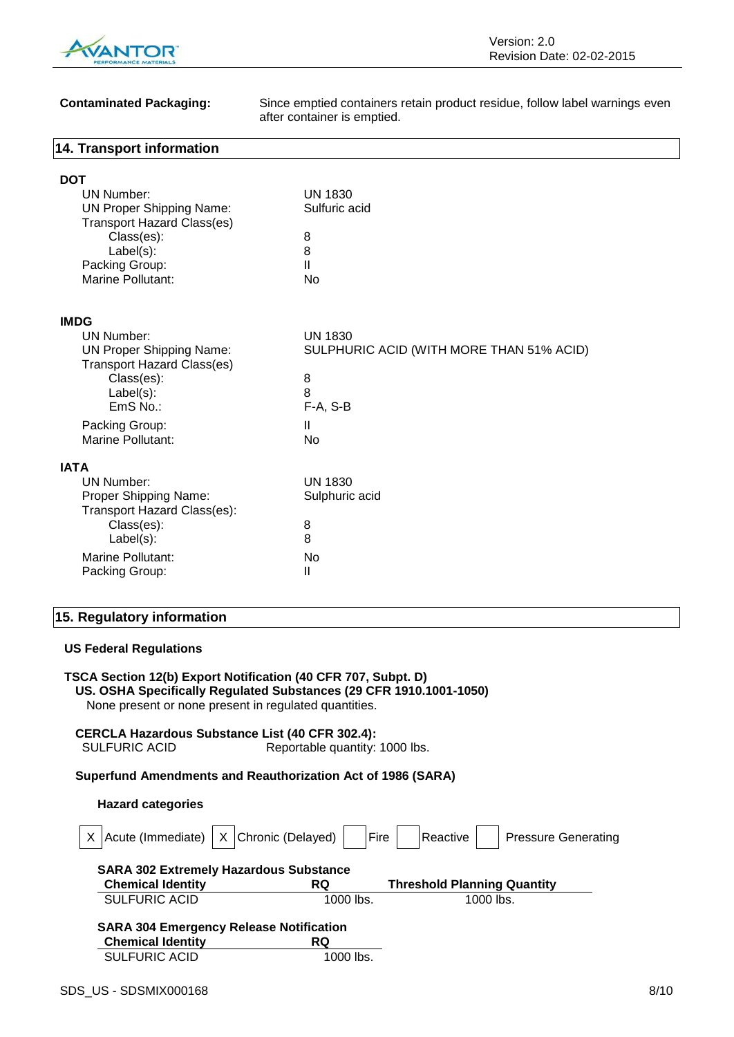

**Contaminated Packaging:** Since emptied containers retain product residue, follow label warnings even after container is emptied.

#### **14. Transport information**

| DOT                               |                                          |
|-----------------------------------|------------------------------------------|
| <b>UN Number:</b>                 | <b>UN 1830</b>                           |
| <b>UN Proper Shipping Name:</b>   | Sulfuric acid                            |
| <b>Transport Hazard Class(es)</b> |                                          |
| Class(es):                        | 8                                        |
| Label(s):                         | 8                                        |
| Packing Group:                    | $\mathbf{I}$                             |
| <b>Marine Pollutant:</b>          | No                                       |
| <b>IMDG</b>                       |                                          |
| UN Number:                        | <b>UN 1830</b>                           |
| <b>UN Proper Shipping Name:</b>   | SULPHURIC ACID (WITH MORE THAN 51% ACID) |
| <b>Transport Hazard Class(es)</b> |                                          |
| Class(es):                        | 8                                        |
| $Label(s)$ :                      | 8                                        |
| EmS No.:                          | $F-A, S-B$                               |
| Packing Group:                    | $\mathbf{I}$                             |
| <b>Marine Pollutant:</b>          | No                                       |
| <b>IATA</b>                       |                                          |
| <b>UN Number:</b>                 | <b>UN 1830</b>                           |
| Proper Shipping Name:             | Sulphuric acid                           |
| Transport Hazard Class(es):       |                                          |
| Class(es):                        | 8                                        |
| $Label(s)$ :                      | 8                                        |
| Marine Pollutant:                 | No                                       |
| Packing Group:                    | Ш                                        |
|                                   |                                          |

### **15. Regulatory information**

#### **US Federal Regulations**

| TSCA Section 12(b) Export Notification (40 CFR 707, Subpt. D)      |
|--------------------------------------------------------------------|
| US. OSHA Specifically Regulated Substances (29 CFR 1910.1001-1050) |
| None present or none present in regulated quantities.              |

**CERCLA Hazardous Substance List (40 CFR 302.4):** Reportable quantity: 1000 lbs.

#### **Superfund Amendments and Reauthorization Act of 1986 (SARA)**

#### **Hazard categories**

| X Chronic (Delayed)<br>Acute (Immediate)       | Fire        | Reactive<br><b>Pressure Generating</b> |
|------------------------------------------------|-------------|----------------------------------------|
| <b>SARA 302 Extremely Hazardous Substance</b>  |             |                                        |
| <b>Chemical Identity</b>                       | <b>RQ</b>   | <b>Threshold Planning Quantity</b>     |
| <b>SULFURIC ACID</b>                           | 1000 lbs.   | 1000 lbs.                              |
| <b>SARA 304 Emergency Release Notification</b> |             |                                        |
| <b>Chemical Identity</b>                       | <b>RQ</b>   |                                        |
| <b>SULFURIC ACID</b>                           | $1000$ lbs. |                                        |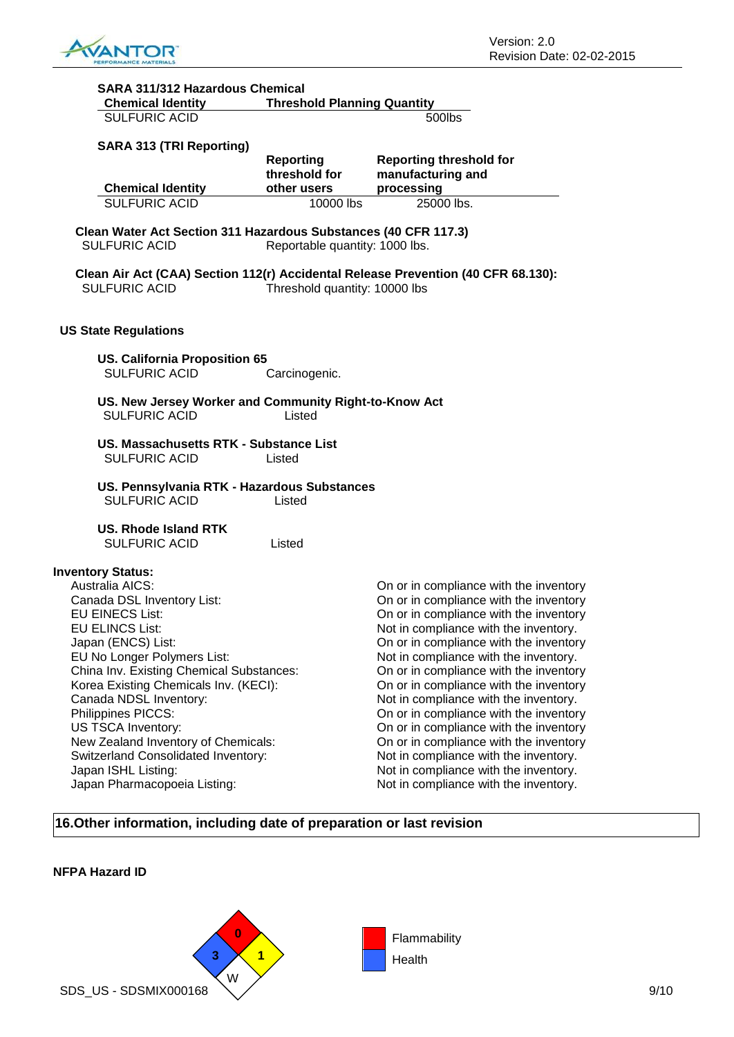

| SARA 311/312 Hazardous Chemical                                                         |                                    |                                                                                   |
|-----------------------------------------------------------------------------------------|------------------------------------|-----------------------------------------------------------------------------------|
| <b>Chemical Identity</b>                                                                | <b>Threshold Planning Quantity</b> |                                                                                   |
| <b>SULFURIC ACID</b>                                                                    |                                    | 500lbs                                                                            |
|                                                                                         |                                    |                                                                                   |
| <b>SARA 313 (TRI Reporting)</b>                                                         |                                    |                                                                                   |
|                                                                                         | <b>Reporting</b>                   | <b>Reporting threshold for</b>                                                    |
|                                                                                         | threshold for                      | manufacturing and                                                                 |
| <b>Chemical Identity</b>                                                                | other users                        | processing                                                                        |
| <b>SULFURIC ACID</b>                                                                    | 10000 lbs                          | 25000 lbs.                                                                        |
| Clean Water Act Section 311 Hazardous Substances (40 CFR 117.3)<br><b>SULFURIC ACID</b> | Reportable quantity: 1000 lbs.     |                                                                                   |
| <b>SULFURIC ACID</b>                                                                    | Threshold quantity: 10000 lbs      | Clean Air Act (CAA) Section 112(r) Accidental Release Prevention (40 CFR 68.130): |
| <b>US State Regulations</b>                                                             |                                    |                                                                                   |
| <b>US. California Proposition 65</b><br><b>SULFURIC ACID</b>                            | Carcinogenic.                      |                                                                                   |
| US. New Jersey Worker and Community Right-to-Know Act<br><b>SULFURIC ACID</b>           | Listed                             |                                                                                   |
| US. Massachusetts RTK - Substance List                                                  |                                    |                                                                                   |
| <b>SULFURIC ACID</b>                                                                    | Listed                             |                                                                                   |
| US. Pennsylvania RTK - Hazardous Substances                                             |                                    |                                                                                   |
| <b>SULFURIC ACID</b>                                                                    | Listed                             |                                                                                   |
| <b>US. Rhode Island RTK</b>                                                             |                                    |                                                                                   |
| <b>SULFURIC ACID</b>                                                                    | Listed                             |                                                                                   |
|                                                                                         |                                    |                                                                                   |
| <b>Inventory Status:</b>                                                                |                                    |                                                                                   |
| Australia AICS:                                                                         |                                    | On or in compliance with the inventory                                            |
| Canada DSL Inventory List:                                                              |                                    | On or in compliance with the inventory                                            |
| <b>EU EINECS List:</b>                                                                  |                                    | On or in compliance with the inventory                                            |
| <b>EU ELINCS List:</b>                                                                  |                                    | Not in compliance with the inventory.                                             |
| Japan (ENCS) List:                                                                      |                                    | On or in compliance with the inventory                                            |
| EU No Longer Polymers List:                                                             |                                    | Not in compliance with the inventory.                                             |
| China Inv. Existing Chemical Substances:                                                |                                    | On or in compliance with the inventory                                            |
| Korea Existing Chemicals Inv. (KECI):                                                   |                                    | On or in compliance with the inventory                                            |
| Canada NDSL Inventory:                                                                  |                                    | Not in compliance with the inventory.                                             |
| Philippines PICCS:                                                                      |                                    | On or in compliance with the inventory                                            |
| US TSCA Inventory:                                                                      |                                    | On or in compliance with the inventory                                            |
| New Zealand Inventory of Chemicals:                                                     |                                    | On or in compliance with the inventory                                            |
| Switzerland Consolidated Inventory:                                                     |                                    | Not in compliance with the inventory.                                             |
| Japan ISHL Listing:                                                                     |                                    | Not in compliance with the inventory.                                             |
| Japan Pharmacopoeia Listing:                                                            |                                    | Not in compliance with the inventory.                                             |
|                                                                                         |                                    |                                                                                   |
|                                                                                         |                                    |                                                                                   |

### **16.Other information, including date of preparation or last revision**

#### **NFPA Hazard ID**